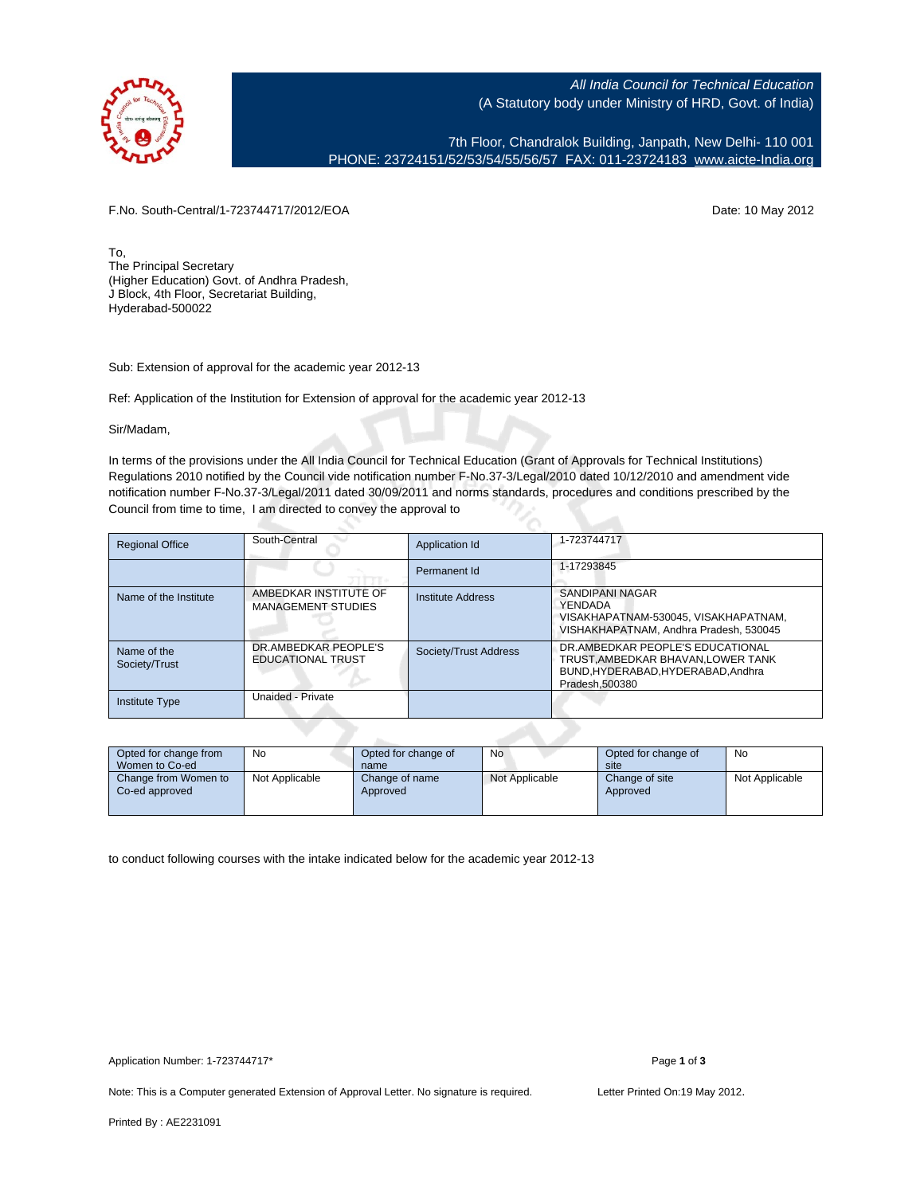

All India Council for Technical Education (A Statutory body under Ministry of HRD, Govt. of India)

7th Floor, Chandralok Building, Janpath, New Delhi- 110 001 PHONE: 23724151/52/53/54/55/56/57 FAX: 011-23724183 [www.aicte-India.org](http://www.aicte-India.org)

F.No. South-Central/1-723744717/2012/EOA Date: 10 May 2012

To, The Principal Secretary (Higher Education) Govt. of Andhra Pradesh, J Block, 4th Floor, Secretariat Building, Hyderabad-500022

Sub: Extension of approval for the academic year 2012-13

Ref: Application of the Institution for Extension of approval for the academic year 2012-13

Sir/Madam,

In terms of the provisions under the All India Council for Technical Education (Grant of Approvals for Technical Institutions) Regulations 2010 notified by the Council vide notification number F-No.37-3/Legal/2010 dated 10/12/2010 and amendment vide notification number F-No.37-3/Legal/2011 dated 30/09/2011 and norms standards, procedures and conditions prescribed by the Council from time to time, I am directed to convey the approval to

| <b>Regional Office</b>       | South-Central                                      | Application Id           | 1-723744717                                                                                                               |
|------------------------------|----------------------------------------------------|--------------------------|---------------------------------------------------------------------------------------------------------------------------|
|                              |                                                    | Permanent Id             | 1-17293845                                                                                                                |
| Name of the Institute        | AMBEDKAR INSTITUTE OF<br><b>MANAGEMENT STUDIES</b> | <b>Institute Address</b> | SANDIPANI NAGAR<br>YENDADA<br>VISAKHAPATNAM-530045. VISAKHAPATNAM.<br>VISHAKHAPATNAM, Andhra Pradesh, 530045              |
| Name of the<br>Society/Trust | DR.AMBEDKAR PEOPLE'S<br><b>EDUCATIONAL TRUST</b>   | Society/Trust Address    | DR.AMBEDKAR PEOPLE'S EDUCATIONAL<br>TRUST AMBEDKAR BHAVAN LOWER TANK<br>BUND.HYDERABAD.HYDERABAD.Andhra<br>Pradesh.500380 |
| <b>Institute Type</b>        | Unaided - Private                                  |                          |                                                                                                                           |

| Opted for change from<br>Women to Co-ed | No.            | Opted for change of<br>name | No             | Opted for change of<br>site | No             |
|-----------------------------------------|----------------|-----------------------------|----------------|-----------------------------|----------------|
| Change from Women to<br>Co-ed approved  | Not Applicable | Change of name<br>Approved  | Not Applicable | Change of site<br>Approved  | Not Applicable |

to conduct following courses with the intake indicated below for the academic year 2012-13

Note: This is a Computer generated Extension of Approval Letter. No signature is required. Letter Printed On:19 May 2012.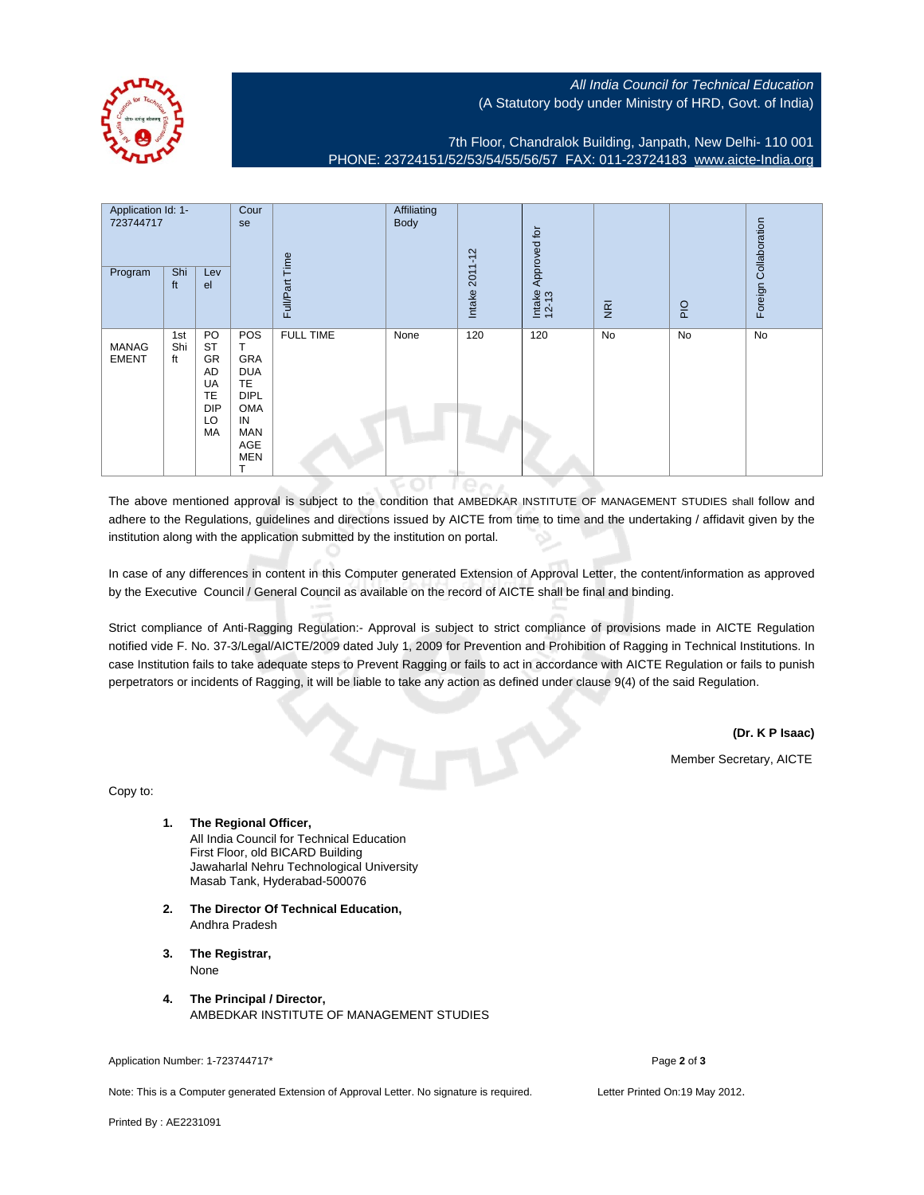

## All India Council for Technical Education (A Statutory body under Ministry of HRD, Govt. of India)

7th Floor, Chandralok Building, Janpath, New Delhi- 110 001 PHONE: 23724151/52/53/54/55/56/57 FAX: 011-23724183 [www.aicte-India.org](http://www.aicte-India.org)

| Application Id: 1-<br>723744717<br>Program | Shi<br>ft        | Lev<br>el                                                                | Cour<br>se                                                                                                      | Time<br>Full/Part | Affiliating<br><b>Body</b> | Intake 2011-12 | Approved for<br>Intake<br>12-13 | $\overline{g}$ | PIO | Foreign Collaboration |
|--------------------------------------------|------------------|--------------------------------------------------------------------------|-----------------------------------------------------------------------------------------------------------------|-------------------|----------------------------|----------------|---------------------------------|----------------|-----|-----------------------|
| <b>MANAG</b><br><b>EMENT</b>               | 1st<br>Shi<br>ft | PO<br><b>ST</b><br>GR<br>AD<br>UA<br><b>TE</b><br><b>DIP</b><br>LO<br>МA | POS<br>GRA<br><b>DUA</b><br><b>TE</b><br><b>DIPL</b><br>OMA<br>IN<br>MAN<br>AGE<br><b>MEN</b><br>$\mathbf \tau$ | <b>FULL TIME</b>  | None                       | 120            | 120                             | No             | No  | <b>No</b>             |

The above mentioned approval is subject to the condition that AMBEDKAR INSTITUTE OF MANAGEMENT STUDIES shall follow and adhere to the Regulations, guidelines and directions issued by AICTE from time to time and the undertaking / affidavit given by the institution along with the application submitted by the institution on portal.

 $IPON$ 

In case of any differences in content in this Computer generated Extension of Approval Letter, the content/information as approved by the Executive Council / General Council as available on the record of AICTE shall be final and binding.

Strict compliance of Anti-Ragging Regulation:- Approval is subject to strict compliance of provisions made in AICTE Regulation notified vide F. No. 37-3/Legal/AICTE/2009 dated July 1, 2009 for Prevention and Prohibition of Ragging in Technical Institutions. In case Institution fails to take adequate steps to Prevent Ragging or fails to act in accordance with AICTE Regulation or fails to punish perpetrators or incidents of Ragging, it will be liable to take any action as defined under clause 9(4) of the said Regulation.

**(Dr. K P Isaac)**

Member Secretary, AICTE

Copy to:

- **1. The Regional Officer,** All India Council for Technical Education First Floor, old BICARD Building Jawaharlal Nehru Technological University Masab Tank, Hyderabad-500076
- **2. The Director Of Technical Education,** Andhra Pradesh
- **3. The Registrar,** None
- **4. The Principal / Director,** AMBEDKAR INSTITUTE OF MANAGEMENT STUDIES

Application Number: 1-723744717\* Page **2** of **3**

Note: This is a Computer generated Extension of Approval Letter. No signature is required. Letter Printed On:19 May 2012.